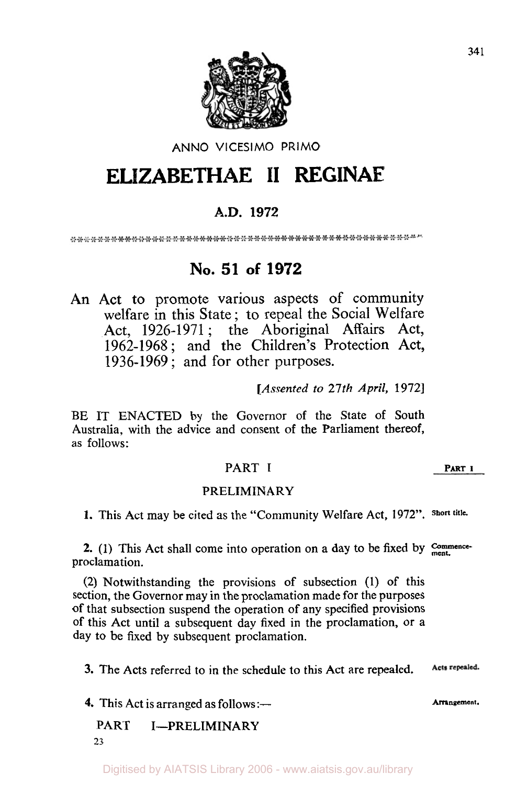

#### ANNO **VlCESlMO** PRIMO

# **ELIZABETHAE II RECINAE**

# **A.D. 1972**

# **No. 51 of 1972**

An Act to promote various aspects of community welfare in this State; to repeal the Social Welfare Act, 1926-1971 ; the Aboriginal Affairs Act, 1962-1968 ; and the Children's Protection Act, 1936-1969 ; and for other purposes.

*[Assented to 27th April, 1972]* 

BE IT ENACTED by the Governor of the State of South Australia, with the advice and consent of the Parliament thereof, as follows:

### PART **I PART <sup>I</sup>**

#### PRELIMINARY

**1.** This Act may be cited as the "Community Welfare Act, 1972". **Short title-**

**2.** (1) This Act shall come into operation on a day to be fixed by **Commence**proclamation.

**(2)** Notwithstanding the provisions of subsection (1) of this section, the Governor may in the proclamation made for the purposes of that subsection suspend the operation of any specified provisions of this Act until a subsequent day fixed in the proclamation, or **a**  day to be fixed by subsequent proclamation.

Acts repealed. **3.** The Acts referred to in the schedule to this Act are repealed.

**4.** This Act is arranged as follows:—

PART I-PRELIMINARY **23** 

Digitised by AIATSIS Library 2006 - www.aiatsis.gov.au/library

**Arrangement.**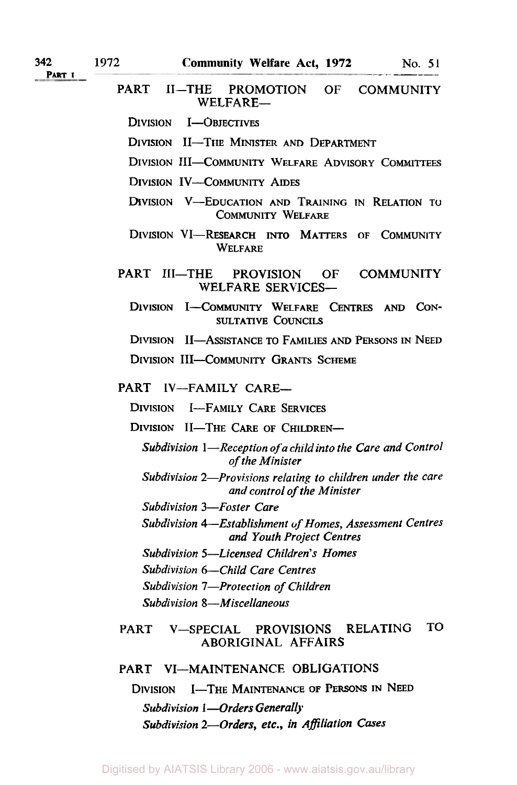**PART I** 

PART II-THE PROMOTION OF COMMUNITY WELFARE-

DIVISION I-OBJECTIVES

DIVISION II-THE MINISTER AND DEPARTMENT

- DIVISION 111-COMMUNITY WELFARE ADVISORY COMMITTEES
- DIVISION IV-COMMUNITY AIDES
- DIVISION V-EDUCATION AND TRAINING IN RELATION TO COMMUNITY WELFARE
- WELFARE DIVISION VI-RESEARCH INTO MATTERS OF COMMUNITY

PART III-THE PROVISION OF COMMUNITY WELFARE SERVICES-

DIVISION I-COMMUNITY WELFARE **CENTRES** AND CON-SULTATIVE COUNCILS

DIVISION 11-ASSISTANCE TO FAMILIES AND PERSONS IN NEED

DIVISION III-COMMUNITY GRANTS SCHEME

#### PART IV-FAMILY CARE-

DIVISION I-FAMILY CARE SERVICES

DIVISION II-THE CARE OF CHILDREN-

*Subdivision 1—Reception of a child into the Care and Control of the Minister* 

- *Subdivision 2-Provisions relating to children under the care and control of the Minister*
- *Subdivision 3-Foster Care*

*Subdivision 4-Establishment of Homes, Assessment Centres and Youth Project Centres* 

*Subdivision 5-Licensed Children's Homes* 

*Subdivision 6-Child Care Centres* 

*Subdivision 7-Protection of Children* 

*Subdivision 8-Miscellaneous* 

#### PART V-SPECIAL PROVISIONS RELATING TO ABORIGINAL AFFAIRS

#### PART VI-MAINTENANCE OBLIGATIONS

DIVISION I-THE MAINTENANCE **OF** PERSONS IN NEED *Subdivision* **1** *-Orders Generally Subdivision 2-Orders, etc., in Affiliation* **Cases**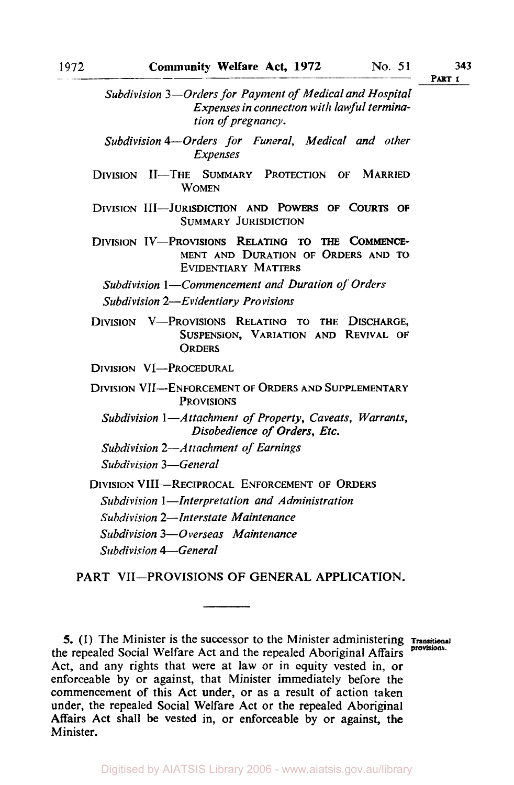**PART I** 

*Subdivision 3 -Orders for Payment of Medical and Hospital Expenses in connection with lawful termination of pregnancy.* 

**DIVISION 11-THE SUMMARY PROTECTION OF MARRIED WOMEN** 

**SUMMARY JURISDICTION DIVISION 111-JURISDICTION AND POWERS OF COURTS OF** 

**MENT AND DURATION OF ORDERS AND TO EVIDENTIARY MATTERS DIVISION IV-PROVISIONS RELATING TO THE COMMENCE-**

*Subdivision I-Commencement and Duration of Orders Subdivision 2-Evidentiary Pro visions* 

**DIVISION V-PROVISIONS RELATING TO THE DISCHARGE, SUSPENSION, VARIATION AND REVIVAL OF ORDERS** 

**DIVISION VI-PROCEDURAL** 

**DIVISION VII-ENFORCEMENT OF ORDERS AND SUPPLEMENTARY PROVISIONS** 

*Subdivision* **1** *--Attachment of Property, Caveats, Warrants, Disobedience of Orders, Etc.* 

*Subdivision 2-Attachment of Earnings* 

*Subdivision 3-General* 

**DIVISION VIII-RECIPROCAL ENFORCEMENT OF ORDERS** *Subdivision I --Interpretation and Administration Subdivision 2-Interstate Maintenance Subdivision 3-0verseas Maintenance Subdivision 4-General* 

PART VII-PROVISIONS OF GENERAL APPLICATION.

Digitised by AIATSIS Library 2006 - www.aiatsis.gov.au/library

*Subdivision 4-Orders for Funeral, Medical and other Expenses* 

**<sup>5.</sup>** (1) The Minister is the successor to the Minister administering **Transitional**  the repealed Social Welfare Act and the repealed Aboriginal Affairs Act, and any rights that were at law or in equity vested in, or enforceable by or against, that Minister immediately before the commencement of this Act under, or as a result of action taken under, the repealed Social Welfare Act or the repealed Aboriginal Affairs Act shall be vested in, or enforceable by or against, the Minister.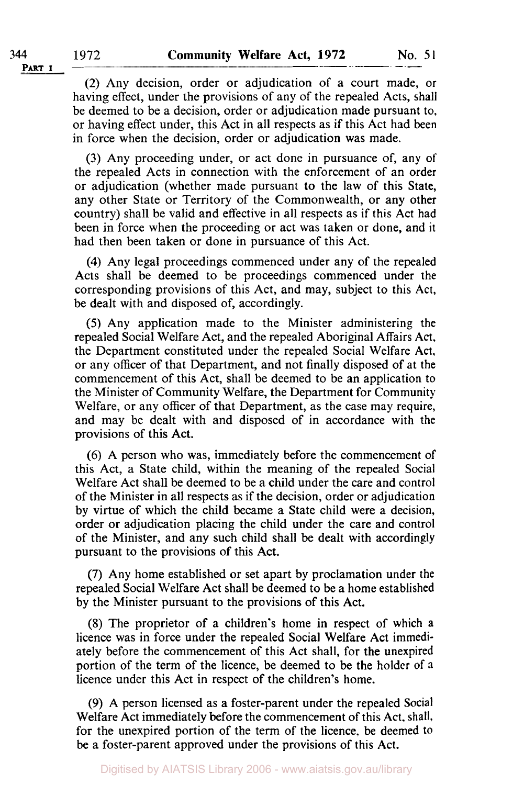(2) Any decision, order or adjudication of a court made, or having effect, under the provisions of any of the repealed Acts, shall be deemed to be a decision, order or adjudication made pursuant to, or having effect under, this Act in all respects as if this Act had been in force when the decision, order or adjudication was made.

**(3)** Any proceeding under, or act done in pursuance of, any of the repealed Acts in connection with the enforcement of an order or adjudication (whether made pursuant to the law of this State, any other State or Territory of the Commonwealth, or any other country) shall be valid and effective in all respects as if this Act had been in force when the proceeding or act was taken or done, and it had then been taken or done in pursuance of this Act.

**(4)** Any legal proceedings commenced under any of the repealed Acts shall be deemed to be proceedings commenced under the corresponding provisions of this Act, and may, subject to this Act, be dealt with and disposed of, accordingly.

(5) Any application made to the Minister administering the repealed Social Welfare Act, and the repealed Aboriginal Affairs Act, the Department constituted under the repealed Social Welfare Act. or any officer of that Department, and not finally disposed of at the commencement of this Act, shall be deemed to be an application to the Minister of Community Welfare, the Department for Community Welfare, or any officer of that Department, as the case may require, and may be dealt with and disposed of in accordance with the provisions of this Act.

*(6)* A person who was, immediately before the commencement of this Act, a State child, within the meaning of the repealed Social Welfare Act shall be deemed to be a child under the care and control of the Minister in all respects as if the decision, order or adjudication by virtue of which the child became a State child were a decision, order or adjudication placing the child under the care and control of the Minister, and any such child shall be dealt with accordingly pursuant to the provisions of this Act.

(7) Any home established or set apart by proclamation under the repealed Social Welfare Act shall be deemed to be a home established by the Minister pursuant to the provisions of this Act.

(8) The proprietor of a children's home in respect of which a licence was in force under the repealed Social Welfare Act immediately before the commencement of this Act shall, for the unexpired portion of the term of the licence, be deemed to be the holder of **a**  licence under this Act in respect of the children's home.

**(9)** A person licensed as a foster-parent under the repealed Social Welfare Act immediately before the commencement of this Act. shall. for the unexpired portion of the term of the licence. be deemed to be a foster-parent approved under the provisions of this Act.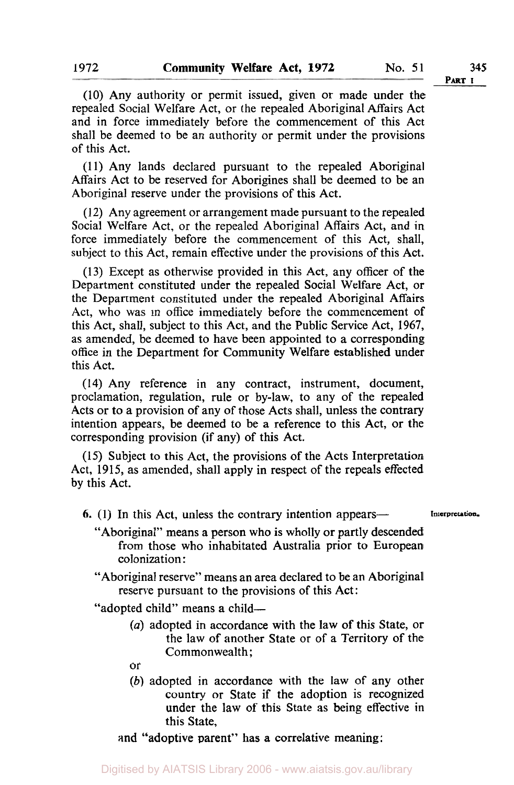**PART I** 

(10) Any authority or permit issued, given or made under the repealed Social Welfare Act, or the repealed Aboriginal Affairs Act and in force immediately before the commencement of this Act shall be deemed to be an authority or permit under the provisions of this Act.

(1 1) Any lands declared pursuant to the repealed Aboriginal Affairs Act to be reserved for Aborigines shall be deemed to be an Aboriginal reserve under the provisions of this Act.

(12) Any agreement or arrangement made pursuant to the repealed Social Welfare Act, or the repealed Aboriginal Affairs Act, and in force immediately before the commencement of this Act, shall, subject to this Act, remain effective under the provisions of this Act.

(13) Except as otherwise provided in this Act, any officer of the Department constituted under the repealed Social Welfare Act, or the Department constituted under the repealed Aboriginal Affairs Act, who was in office immediately before the commencement of this Act, shall, subject to this Act, and the Public Service Act, 1967, as amended, be deemed to have been appointed to a corresponding office in the Department for Community Welfare established under this Act.

**(14)** Any reference in any contract, instrument, document, proclamation, regulation, rule or by-law, to any of the repealed Acts or to a provision of any of those Acts shall, unless the contrary intention appears, be deemed to be a reference to this Act, or the corresponding provision (if any) of this Act.

(15) Subject to this Act, the provisions of the Acts Interpretation Act, 1915, as amended, shall apply in respect of the repeals effected by this Act.

- **6.** (1) In this Act, unless the contrary intention appears— **Interpretation.** 
	-
	- "Aboriginal" means a person who is wholly or partly descended from those who inhabitated Australia prior to European colonization :
	- "Aboriginal reserve" means an area declared to be an Aboriginal reserve pursuant to the provisions of this Act :

"adopted child" means a child-

- *(a)* adopted in accordance with the law of this State, or the law of another State or of a Territory *of* the Commonwealth ;
- or
- *(b)* adopted in accordance with the law of any other country or State if the adoption is recognized under the law of this State as being effective in this State,

and "adoptive parent" has **a** correlative meaning :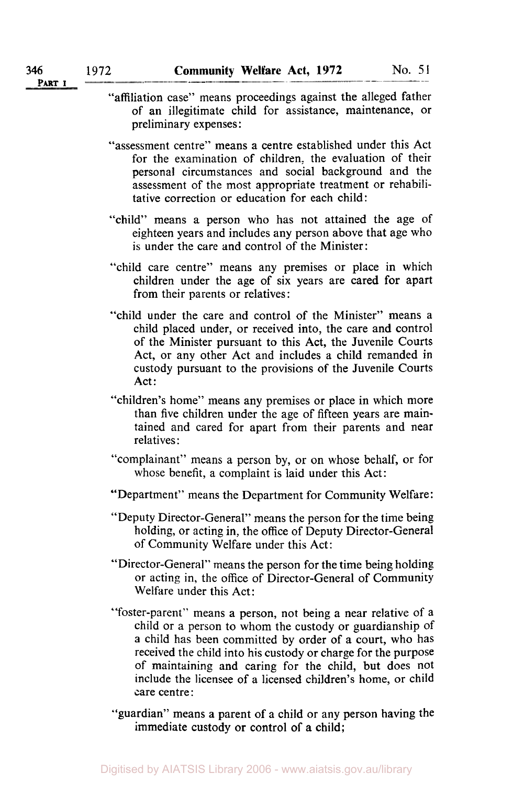- "affiliation case" means proceedings against the alleged father **of** an illegitimate child for assistance, maintenance, or preliminary expenses :
	- "assessment centre" means a centre established under this Act for the examination of children, the evaluation of their personal circumstances and social background and the assessment of the most appropriate treatment or rehabilitative correction or education for each child:
	- "child" means **a** person who has not attained the age of eighteen years and includes any person above that age who is under the care and control of the Minister:
	- "child care centre" means any premises or place in which children under the age of six years are cared for apart from their parents or relatives :
	- "child under the care and control of the Minister" means a child placed under, or received into, the care and control of the Minister pursuant to this Act, the Juvenile Courts Act, or any other Act and includes a child remanded **in**  custody pursuant to the provisions of the Juvenile Courts Act:
	- "children's home" means any premises or place in which more than five children under the age of fifteen years are maintained and cared for apart from their parents and near relatives :
	- "complainant" means a person by, or on whose behalf, or for whose benefit, a complaint is laid under this Act:
	- "Department" means the Department for Community Welfare :
	- "Deputy Director-General'' means the person for the time being holding, or acting in, the office of Deputy Director-General of Community Welfare under this Act:
	- "Director-General" means the person for the time being holding or acting in, the office of Director-General of Community Welfare under this Act:
	- foster-parent" means a person, not being a near relative of a " child or a person to whom the custody or guardianship of **a** child has been committed by order of a court, who has received the child into his custody or charge for the purpose of maintaining and caring for the child, but does not include the licensee of a licensed children's home, or child care centre:
	- "guardian" means a parent of a child or any person having the immediate custody or control **of** a child;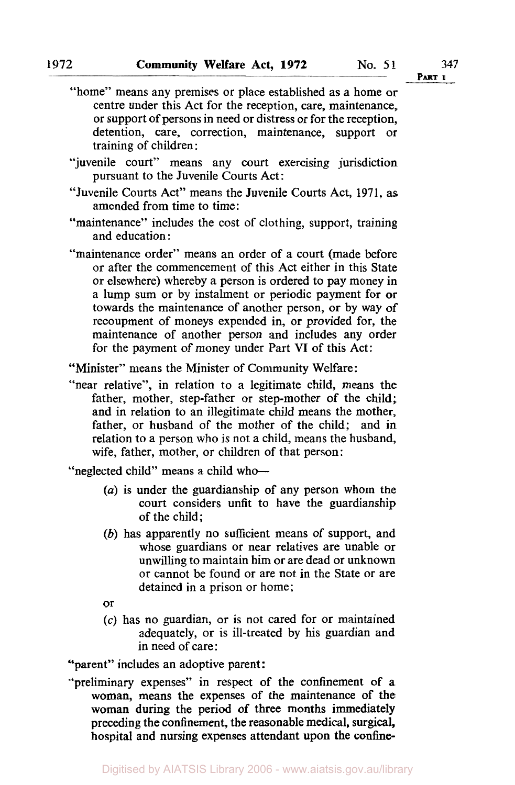- ''juvenile court" means any court exercising jurisdiction pursuant to the Juvenile Courts Act:
- "Juvenile Courts Act" means the Juvenile Courts Act, **1971,** as amended from time to time:
- "maintenance" includes the cost of clothing, support, training and education :
- "maintenance order" means an order of a court (made before or after the commencement of this Act either in this State or elsewhere) whereby a person is ordered to pay money in a lump sum or by instalment or periodic payment for or towards the maintenance of another person, **or** by way of recoupment of moneys expended in, or provided for, the maintenance of another person and includes any order for the payment of money under Part **VI** of this Act:

"Minister" means the Minister of Community Welfare :

"near relative", in relation to a legitimate child, means the father, mother, step-father or step-mother of the child; and in relation to an illegitimate child means the mother, father, or husband of the mother of the child; and in relation to a person who is not a child, means the husband, wife, father, mother, or children of that person:

"neglected child" means a child who-

- *(a)* is under the guardianship of any person whom the court considers unfit to have the guardianship of the child;
- *(b)* has apparently no sufficient means of support, and whose guardians or near relatives are unable or unwilling to maintain him or are dead or unknown or cannot be found or are not in the State or are detained in a prison or home;
- or
- **(c)** has no guardian, or is not cared for or maintained adequately, or is ill-treated by his guardian and in need of care :

"parent" includes an adoptive parent:

"preliminary expenses" in respect of the confinement **of a**  woman, means the expenses of the maintenance of the woman during the period of three months immediately preceding the confinement, the reasonable medical, surgical, hospital and nursing expenses attendant upon the **confine-**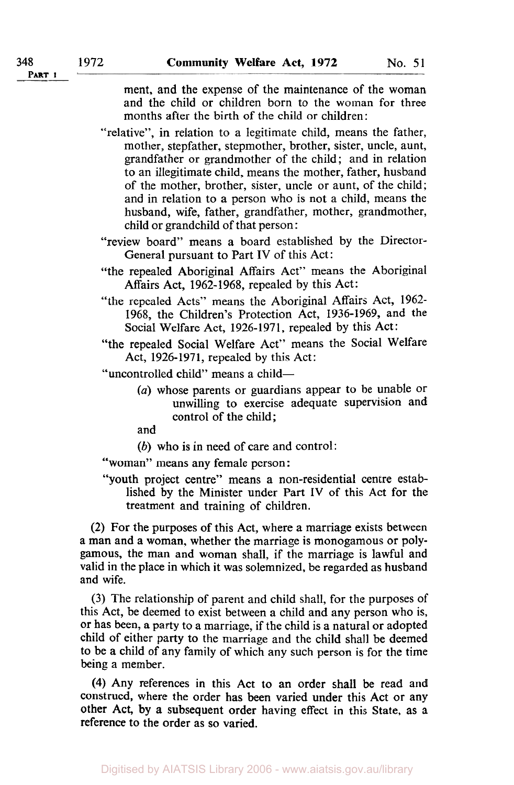ment, and the expense of the maintenance of the woman and the child or children born to the woman for three months after the birth of the child or children:

"relative", in relation to a legitimate child, means the father, mother, stepfather, stepmother, brother, sister, uncle, aunt, grandfather or grandmother of the child; and in relation to an illegitimate child, means the mother, father, husband of the mother, brother, sister, uncle or aunt, of the child; and in relation to a person who is not a child, means the husband, wife, father, grandfather, mother, grandmother, child or grandchild of that person :

- "review board" means a board established by the Director-General pursuant to Part **IV** of this Act:
- "the repealed Aboriginal Affairs Act" means the Aboriginal Affairs Act, 1962-1968, repealed by this Act:
- "the repealed Acts" means the Aboriginal Affairs Act, 1962- 1968, the Children's Protection Act, 1936-1969, and the Social Welfare Act, 1926-1971, repealed by this Act:
- "the repealed Social Welfare Act" means the Social Welfare Act, 1926-1971, repealed by this Act:
- "uncontrolled child" means a child-
	- *(a)* whose parents or guardians appear to be unable Or unwilling to exercise adequate supervision and control of the child;

and

*(b)* who is in need of care and control:

"woman" means any female person:

"youth project centre" means a non-residential centre established by the Minister under Part **IV** of this Act for the treatment and training of children.

**(2) For** the purposes of this Act, where a marriage exists between a man and a woman, whether the marriage is monogamous or polygamous, the man and woman shall, if the marriage **is** lawful and valid in the place in which it was solemnized, be regarded as husband and wife.

(3) The relationship of parent and child shall, for the purposes of this Act, be deemed to exist between a child and any person who **is,**  or has been, a party to a marriage, if the child is a natural or adopted child of either party to the marriage and the child shall be deemed to be a child of any family of which any such person is for the time being a member.

**(4)** Any references in this Act to an order shall be read and construed, where the order has been varied under this Act or any other Act, by a subsequent order having effect in this State, as a reference to the order **as** so varied.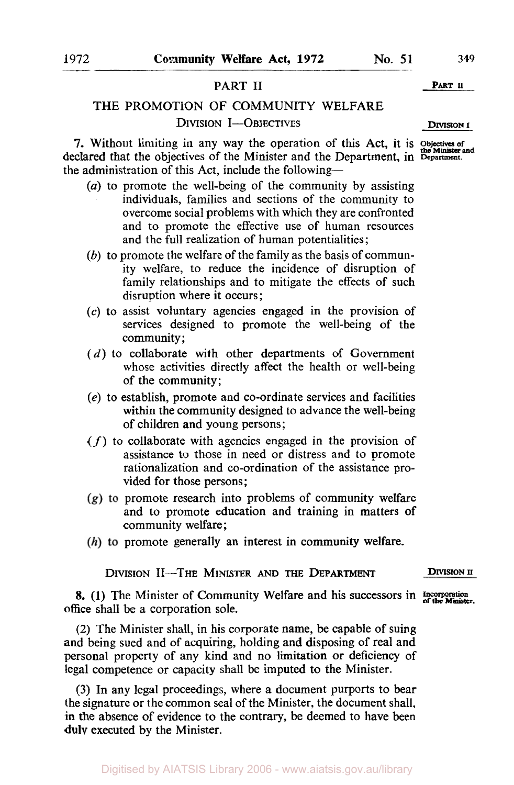## PART II PART U

# THE PROMOTION OF COMMUNITY WELFARE **DIVISION I--OBJECTIVES DIVISION I**

**7.** Without limiting in any way the operation of this Act, it is **Objectives of the Minister and**  declared that the objectives of the Minister and the Department, in Department. the administration of this Act, include the following-

- *(a)* to promote the well-being of the community by assisting individuals, families and sections of the community to overcome social problems with which they are confronted and to promote the effective use of human resources and the full realization of human potentialities ;
- *(b)* to promote the welfare of the family as the basis of community welfare, to reduce the incidence of disruption of family relationships and to mitigate the effects of such disruption where it occurs;
- **(c)** to assist voluntary agencies engaged in the provision of services designed to promote the well-being of the community ;
- *(d)* to collaborate with other departments of Government whose activities directly affect the health or well-being of the community;
- *(e)* to establish, promote and co-ordinate services and facilities within the community designed to advance the well-being of children and young persons;
- *(f)* to collaborate with agencies engaged in the provision of assistance to those in need or distress and to promote rationalization and co-ordination of the assistance provided for those persons;
- $p(x)$  to promote research into problems of community welfare and to promote education and training in matters **of**  community welfare:
- $(h)$  to promote generally an interest in community welfare.

DIVISION II-THE MINISTER **AND THE DEPARTMENT DIVISION II** 

**8.** (1) The Minister of Community Welfare and his successors in **Incorporation** of the Minister. office shall be a corporation sole.

(2) The Minister shall, in his corporate name, be capable of suing and being sued and of acquiring, holding and disposing of real and personal property of any kind and no limitation or deficiency of legal competence or capacity shall be imputed to the Minister.

(3) In any legal proceedings, where a document purports to bear the signature or the common seal of the Minister, the document shall. **in** the absence of evidence to the contrary, be deemed to have been **duly** executed by the Minister.